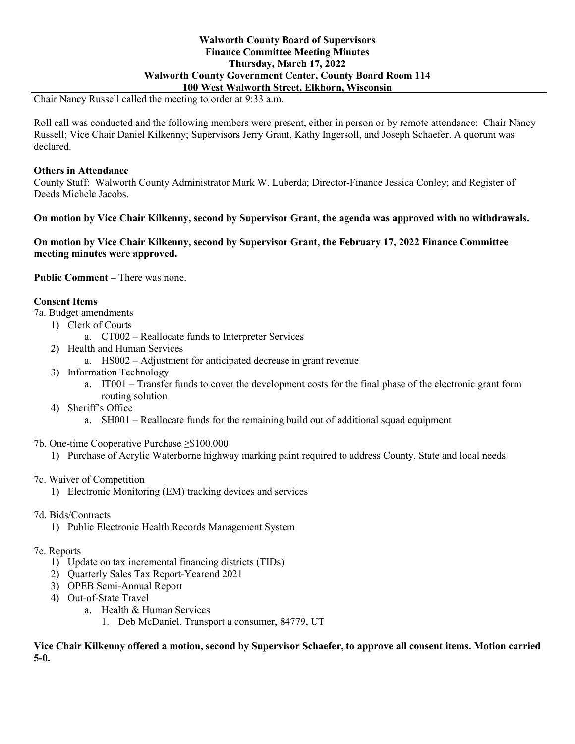## **Walworth County Board of Supervisors Finance Committee Meeting Minutes Thursday, March 17, 2022 Walworth County Government Center, County Board Room 114 100 West Walworth Street, Elkhorn, Wisconsin**

Chair Nancy Russell called the meeting to order at 9:33 a.m.

Roll call was conducted and the following members were present, either in person or by remote attendance: Chair Nancy Russell; Vice Chair Daniel Kilkenny; Supervisors Jerry Grant, Kathy Ingersoll, and Joseph Schaefer. A quorum was declared.

### **Others in Attendance**

County Staff: Walworth County Administrator Mark W. Luberda; Director-Finance Jessica Conley; and Register of Deeds Michele Jacobs.

### **On motion by Vice Chair Kilkenny, second by Supervisor Grant, the agenda was approved with no withdrawals.**

**On motion by Vice Chair Kilkenny, second by Supervisor Grant, the February 17, 2022 Finance Committee meeting minutes were approved.**

Public Comment – There was none.

## **Consent Items**

7a. Budget amendments

- 1) Clerk of Courts
	- a. CT002 Reallocate funds to Interpreter Services
- 2) Health and Human Services
	- a. HS002 Adjustment for anticipated decrease in grant revenue
- 3) Information Technology
	- a. IT001 Transfer funds to cover the development costs for the final phase of the electronic grant form routing solution
- 4) Sheriff's Office
	- a. SH001 Reallocate funds for the remaining build out of additional squad equipment
- 7b. One-time Cooperative Purchase ≥\$100,000
	- 1) Purchase of Acrylic Waterborne highway marking paint required to address County, State and local needs
- 7c. Waiver of Competition
	- 1) Electronic Monitoring (EM) tracking devices and services
- 7d. Bids/Contracts
	- 1) Public Electronic Health Records Management System

#### 7e. Reports

- 1) Update on tax incremental financing districts (TIDs)
- 2) Quarterly Sales Tax Report-Yearend 2021
- 3) OPEB Semi-Annual Report
- 4) Out-of-State Travel
	- a. Health & Human Services
		- 1. Deb McDaniel, Transport a consumer, 84779, UT

**Vice Chair Kilkenny offered a motion, second by Supervisor Schaefer, to approve all consent items. Motion carried 5-0.**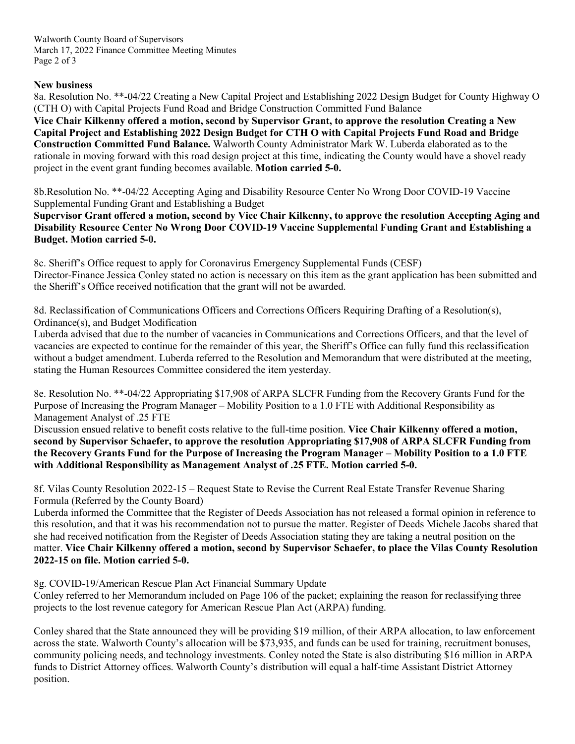Walworth County Board of Supervisors March 17, 2022 Finance Committee Meeting Minutes Page 2 of 3

## **New business**

8a. Resolution No. \*\*-04/22 Creating a New Capital Project and Establishing 2022 Design Budget for County Highway O (CTH O) with Capital Projects Fund Road and Bridge Construction Committed Fund Balance

**Vice Chair Kilkenny offered a motion, second by Supervisor Grant, to approve the resolution Creating a New Capital Project and Establishing 2022 Design Budget for CTH O with Capital Projects Fund Road and Bridge Construction Committed Fund Balance.** Walworth County Administrator Mark W. Luberda elaborated as to the rationale in moving forward with this road design project at this time, indicating the County would have a shovel ready project in the event grant funding becomes available. **Motion carried 5-0.**

8b.Resolution No. \*\*-04/22 Accepting Aging and Disability Resource Center No Wrong Door COVID-19 Vaccine Supplemental Funding Grant and Establishing a Budget

**Supervisor Grant offered a motion, second by Vice Chair Kilkenny, to approve the resolution Accepting Aging and Disability Resource Center No Wrong Door COVID-19 Vaccine Supplemental Funding Grant and Establishing a Budget. Motion carried 5-0.**

8c. Sheriff's Office request to apply for Coronavirus Emergency Supplemental Funds (CESF) Director-Finance Jessica Conley stated no action is necessary on this item as the grant application has been submitted and the Sheriff's Office received notification that the grant will not be awarded.

8d. Reclassification of Communications Officers and Corrections Officers Requiring Drafting of a Resolution(s), Ordinance(s), and Budget Modification

Luberda advised that due to the number of vacancies in Communications and Corrections Officers, and that the level of vacancies are expected to continue for the remainder of this year, the Sheriff's Office can fully fund this reclassification without a budget amendment. Luberda referred to the Resolution and Memorandum that were distributed at the meeting, stating the Human Resources Committee considered the item yesterday.

8e. Resolution No. \*\*-04/22 Appropriating \$17,908 of ARPA SLCFR Funding from the Recovery Grants Fund for the Purpose of Increasing the Program Manager – Mobility Position to a 1.0 FTE with Additional Responsibility as Management Analyst of .25 FTE

Discussion ensued relative to benefit costs relative to the full-time position. **Vice Chair Kilkenny offered a motion, second by Supervisor Schaefer, to approve the resolution Appropriating \$17,908 of ARPA SLCFR Funding from the Recovery Grants Fund for the Purpose of Increasing the Program Manager – Mobility Position to a 1.0 FTE with Additional Responsibility as Management Analyst of .25 FTE. Motion carried 5-0.**

8f. Vilas County Resolution 2022-15 – Request State to Revise the Current Real Estate Transfer Revenue Sharing Formula (Referred by the County Board)

Luberda informed the Committee that the Register of Deeds Association has not released a formal opinion in reference to this resolution, and that it was his recommendation not to pursue the matter. Register of Deeds Michele Jacobs shared that she had received notification from the Register of Deeds Association stating they are taking a neutral position on the matter. **Vice Chair Kilkenny offered a motion, second by Supervisor Schaefer, to place the Vilas County Resolution 2022-15 on file. Motion carried 5-0.**

8g. COVID-19/American Rescue Plan Act Financial Summary Update

Conley referred to her Memorandum included on Page 106 of the packet; explaining the reason for reclassifying three projects to the lost revenue category for American Rescue Plan Act (ARPA) funding.

Conley shared that the State announced they will be providing \$19 million, of their ARPA allocation, to law enforcement across the state. Walworth County's allocation will be \$73,935, and funds can be used for training, recruitment bonuses, community policing needs, and technology investments. Conley noted the State is also distributing \$16 million in ARPA funds to District Attorney offices. Walworth County's distribution will equal a half-time Assistant District Attorney position.